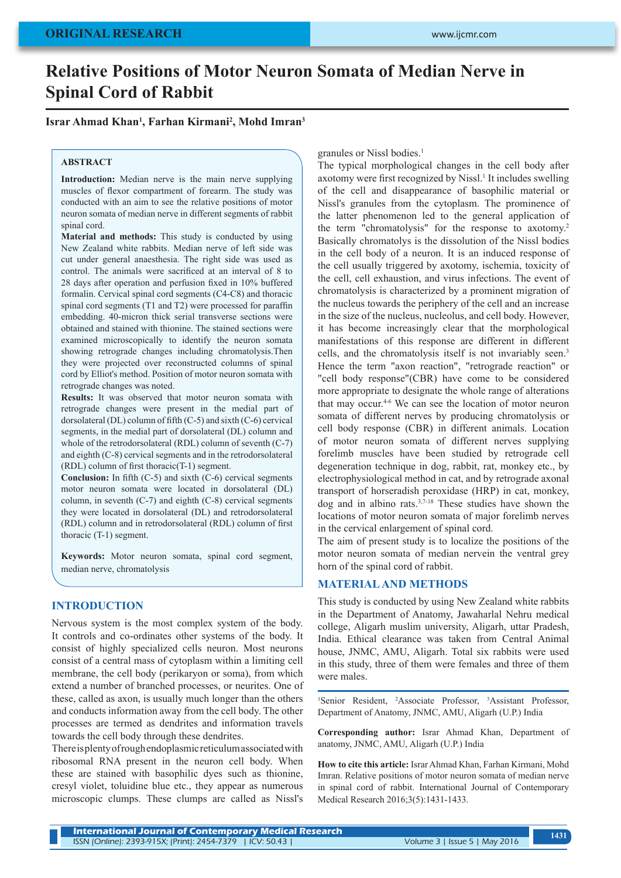# **Relative Positions of Motor Neuron Somata of Median Nerve in Spinal Cord of Rabbit**

### **Israr Ahmad Khan1 , Farhan Kirmani2 , Mohd Imran3**

#### **ABSTRACT**

**Introduction:** Median nerve is the main nerve supplying muscles of flexor compartment of forearm. The study was conducted with an aim to see the relative positions of motor neuron somata of median nerve in different segments of rabbit spinal cord.

**Material and methods:** This study is conducted by using New Zealand white rabbits. Median nerve of left side was cut under general anaesthesia. The right side was used as control. The animals were sacrificed at an interval of 8 to 28 days after operation and perfusion fixed in 10% buffered formalin. Cervical spinal cord segments (C4-C8) and thoracic spinal cord segments (T1 and T2) were processed for paraffin embedding. 40-micron thick serial transverse sections were obtained and stained with thionine. The stained sections were examined microscopically to identify the neuron somata showing retrograde changes including chromatolysis.Then they were projected over reconstructed columns of spinal cord by Elliot's method. Position of motor neuron somata with retrograde changes was noted.

**Results:** It was observed that motor neuron somata with retrograde changes were present in the medial part of dorsolateral (DL) column of fifth (C-5) and sixth (C-6) cervical segments, in the medial part of dorsolateral (DL) column and whole of the retrodorsolateral (RDL) column of seventh (C-7) and eighth (C-8) cervical segments and in the retrodorsolateral (RDL) column of first thoracic(T-1) segment.

**Conclusion:** In fifth (C-5) and sixth (C-6) cervical segments motor neuron somata were located in dorsolateral (DL) column, in seventh (C-7) and eighth (C-8) cervical segments they were located in dorsolateral (DL) and retrodorsolateral (RDL) column and in retrodorsolateral (RDL) column of first thoracic (T-1) segment.

**Keywords:** Motor neuron somata, spinal cord segment, median nerve, chromatolysis

## **INTRODUCTION**

Nervous system is the most complex system of the body. It controls and co-ordinates other systems of the body. It consist of highly specialized cells neuron. Most neurons consist of a central mass of cytoplasm within a limiting cell membrane, the cell body (perikaryon or soma), from which extend a number of branched processes, or neurites. One of these, called as axon, is usually much longer than the others and conducts information away from the cell body. The other processes are termed as dendrites and information travels towards the cell body through these dendrites.

There is plenty of roughendoplasmic reticulumassociatedwith ribosomal RNA present in the neuron cell body. When these are stained with basophilic dyes such as thionine, cresyl violet, toluidine blue etc., they appear as numerous microscopic clumps. These clumps are called as Nissl's granules or Nissl bodies.<sup>1</sup>

The typical morphological changes in the cell body after axotomy were first recognized by Nissl.<sup>1</sup> It includes swelling of the cell and disappearance of basophilic material or Nissl's granules from the cytoplasm. The prominence of the latter phenomenon led to the general application of the term "chromatolysis" for the response to axotomy.<sup>2</sup> Basically chromatolys is the dissolution of the Nissl bodies in the cell body of a neuron. It is an induced response of the cell usually triggered by axotomy, ischemia, toxicity of the cell, cell exhaustion, and virus infections. The event of chromatolysis is characterized by a prominent migration of the nucleus towards the periphery of the cell and an increase in the size of the nucleus, nucleolus, and cell body. However, it has become increasingly clear that the morphological manifestations of this response are different in different cells, and the chromatolysis itself is not invariably seen.<sup>3</sup> Hence the term "axon reaction", "retrograde reaction" or "cell body response"(CBR) have come to be considered more appropriate to designate the whole range of alterations that may occur.4-6 We can see the location of motor neuron somata of different nerves by producing chromatolysis or cell body response (CBR) in different animals. Location of motor neuron somata of different nerves supplying forelimb muscles have been studied by retrograde cell degeneration technique in dog, rabbit, rat, monkey etc., by electrophysiological method in cat, and by retrograde axonal transport of horseradish peroxidase (HRP) in cat, monkey, dog and in albino rats.3,7-18 These studies have shown the locations of motor neuron somata of major forelimb nerves in the cervical enlargement of spinal cord.

The aim of present study is to localize the positions of the motor neuron somata of median nervein the ventral grey horn of the spinal cord of rabbit.

#### **MATERIAL AND METHODS**

This study is conducted by using New Zealand white rabbits in the Department of Anatomy, Jawaharlal Nehru medical college, Aligarh muslim university, Aligarh, uttar Pradesh, India. Ethical clearance was taken from Central Animal house, JNMC, AMU, Aligarh. Total six rabbits were used in this study, three of them were females and three of them were males.

<sup>1</sup>Senior Resident, <sup>2</sup>Associate Professor, <sup>3</sup>Assistant Professor, Department of Anatomy, JNMC, AMU, Aligarh (U.P.) India

**Corresponding author:** Israr Ahmad Khan, Department of anatomy, JNMC, AMU, Aligarh (U.P.) India

**How to cite this article:** Israr Ahmad Khan, Farhan Kirmani, Mohd Imran. Relative positions of motor neuron somata of median nerve in spinal cord of rabbit. International Journal of Contemporary Medical Research 2016;3(5):1431-1433.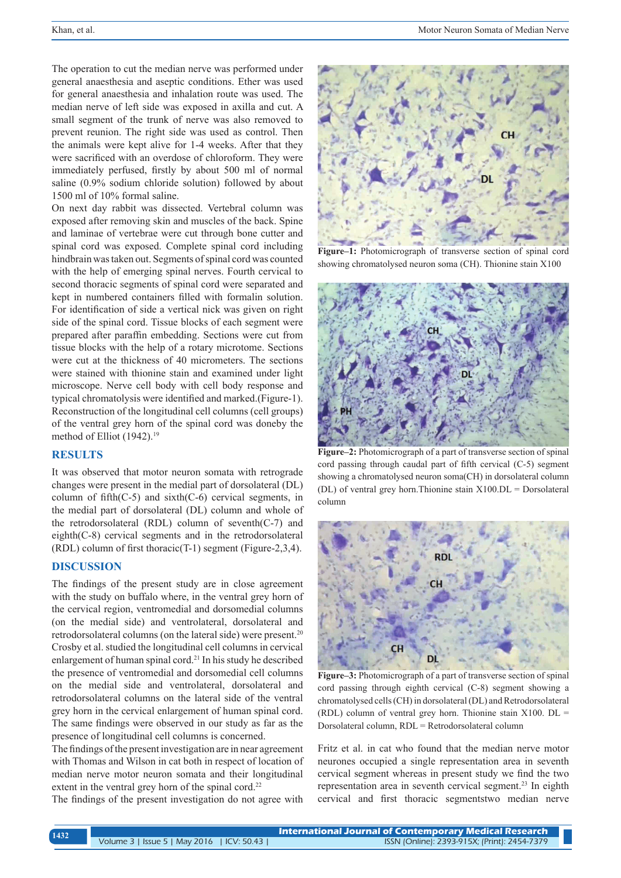The operation to cut the median nerve was performed under general anaesthesia and aseptic conditions. Ether was used for general anaesthesia and inhalation route was used. The median nerve of left side was exposed in axilla and cut. A small segment of the trunk of nerve was also removed to prevent reunion. The right side was used as control. Then the animals were kept alive for 1-4 weeks. After that they were sacrificed with an overdose of chloroform. They were immediately perfused, firstly by about 500 ml of normal saline (0.9% sodium chloride solution) followed by about 1500 ml of 10% formal saline.

On next day rabbit was dissected. Vertebral column was exposed after removing skin and muscles of the back. Spine and laminae of vertebrae were cut through bone cutter and spinal cord was exposed. Complete spinal cord including hindbrain was taken out. Segments of spinal cord was counted with the help of emerging spinal nerves. Fourth cervical to second thoracic segments of spinal cord were separated and kept in numbered containers filled with formalin solution. For identification of side a vertical nick was given on right side of the spinal cord. Tissue blocks of each segment were prepared after paraffin embedding. Sections were cut from tissue blocks with the help of a rotary microtome. Sections were cut at the thickness of 40 micrometers. The sections were stained with thionine stain and examined under light microscope. Nerve cell body with cell body response and typical chromatolysis were identified and marked.(Figure-1). Reconstruction of the longitudinal cell columns (cell groups) of the ventral grey horn of the spinal cord was doneby the method of Elliot (1942).<sup>19</sup>

# **RESULTS**

It was observed that motor neuron somata with retrograde changes were present in the medial part of dorsolateral (DL) column of fifth $(C-5)$  and sixth $(C-6)$  cervical segments, in the medial part of dorsolateral (DL) column and whole of the retrodorsolateral (RDL) column of seventh(C-7) and eighth(C-8) cervical segments and in the retrodorsolateral (RDL) column of first thoracic(T-1) segment (Figure-2,3,4).

## **DISCUSSION**

The findings of the present study are in close agreement with the study on buffalo where, in the ventral grey horn of the cervical region, ventromedial and dorsomedial columns (on the medial side) and ventrolateral, dorsolateral and retrodorsolateral columns (on the lateral side) were present.20 Crosby et al. studied the longitudinal cell columns in cervical enlargement of human spinal cord.21 In his study he described the presence of ventromedial and dorsomedial cell columns on the medial side and ventrolateral, dorsolateral and retrodorsolateral columns on the lateral side of the ventral grey horn in the cervical enlargement of human spinal cord. The same findings were observed in our study as far as the presence of longitudinal cell columns is concerned.

The findings of the present investigation are in near agreement with Thomas and Wilson in cat both in respect of location of median nerve motor neuron somata and their longitudinal extent in the ventral grey horn of the spinal cord.<sup>22</sup>

The findings of the present investigation do not agree with



**Figure–1:** Photomicrograph of transverse section of spinal cord showing chromatolysed neuron soma (CH). Thionine stain X100



**Figure–2:** Photomicrograph of a part of transverse section of spinal cord passing through caudal part of fifth cervical (C-5) segment showing a chromatolysed neuron soma(CH) in dorsolateral column (DL) of ventral grey horn.Thionine stain X100.DL = Dorsolateral column



**Figure–3:** Photomicrograph of a part of transverse section of spinal cord passing through eighth cervical (C-8) segment showing a chromatolysed cells (CH) in dorsolateral (DL) and Retrodorsolateral (RDL) column of ventral grey horn. Thionine stain  $X100$ . DL = Dorsolateral column, RDL = Retrodorsolateral column

Fritz et al. in cat who found that the median nerve motor neurones occupied a single representation area in seventh cervical segment whereas in present study we find the two representation area in seventh cervical segment.<sup>23</sup> In eighth cervical and first thoracic segmentstwo median nerve